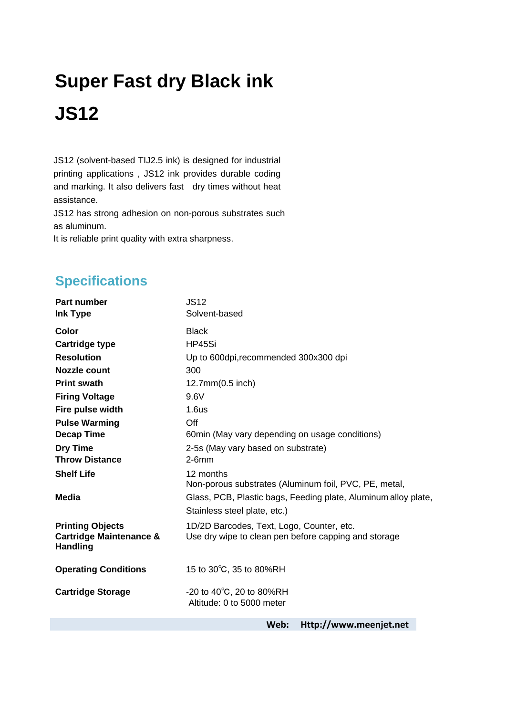## **Super Fast dry Black ink JS12**

JS12 (solvent-based TIJ2.5 ink) is designed for industrial printing applications , JS12 ink provides durable coding and marking. It also delivers fast dry times without heat assistance.

JS12 has strong adhesion on non-porous substrates such as aluminum.

It is reliable print quality with extra sharpness.

## **Specifications**

| <b>Part number</b>                                                               | <b>JS12</b>                                                                                       |  |
|----------------------------------------------------------------------------------|---------------------------------------------------------------------------------------------------|--|
| <b>Ink Type</b>                                                                  | Solvent-based                                                                                     |  |
| Color                                                                            | <b>Black</b>                                                                                      |  |
| <b>Cartridge type</b>                                                            | HP45Si                                                                                            |  |
| <b>Resolution</b>                                                                | Up to 600dpi, recommended 300x300 dpi                                                             |  |
| Nozzle count                                                                     | 300                                                                                               |  |
| <b>Print swath</b>                                                               | 12.7mm(0.5 inch)                                                                                  |  |
| <b>Firing Voltage</b>                                                            | 9.6V                                                                                              |  |
| Fire pulse width                                                                 | 1.6us                                                                                             |  |
| <b>Pulse Warming</b>                                                             | Off                                                                                               |  |
| <b>Decap Time</b>                                                                | 60min (May vary depending on usage conditions)                                                    |  |
| <b>Dry Time</b>                                                                  | 2-5s (May vary based on substrate)                                                                |  |
| <b>Throw Distance</b>                                                            | $2-6mm$                                                                                           |  |
| <b>Shelf Life</b>                                                                | 12 months<br>Non-porous substrates (Aluminum foil, PVC, PE, metal,                                |  |
| <b>Media</b>                                                                     | Glass, PCB, Plastic bags, Feeding plate, Aluminum alloy plate,                                    |  |
|                                                                                  | Stainless steel plate, etc.)                                                                      |  |
| <b>Printing Objects</b><br><b>Cartridge Maintenance &amp;</b><br><b>Handling</b> | 1D/2D Barcodes, Text, Logo, Counter, etc.<br>Use dry wipe to clean pen before capping and storage |  |
| <b>Operating Conditions</b>                                                      | 15 to 30°C, 35 to 80%RH                                                                           |  |
| <b>Cartridge Storage</b>                                                         | $-20$ to $40^{\circ}$ C, 20 to 80%RH<br>Altitude: 0 to 5000 meter                                 |  |
|                                                                                  | $\sim$ $\sim$ $\sim$ $\sim$ $\sim$ $\sim$                                                         |  |

**Web: [Http://www.meenjet.net](http://www.meenjet.net/)**